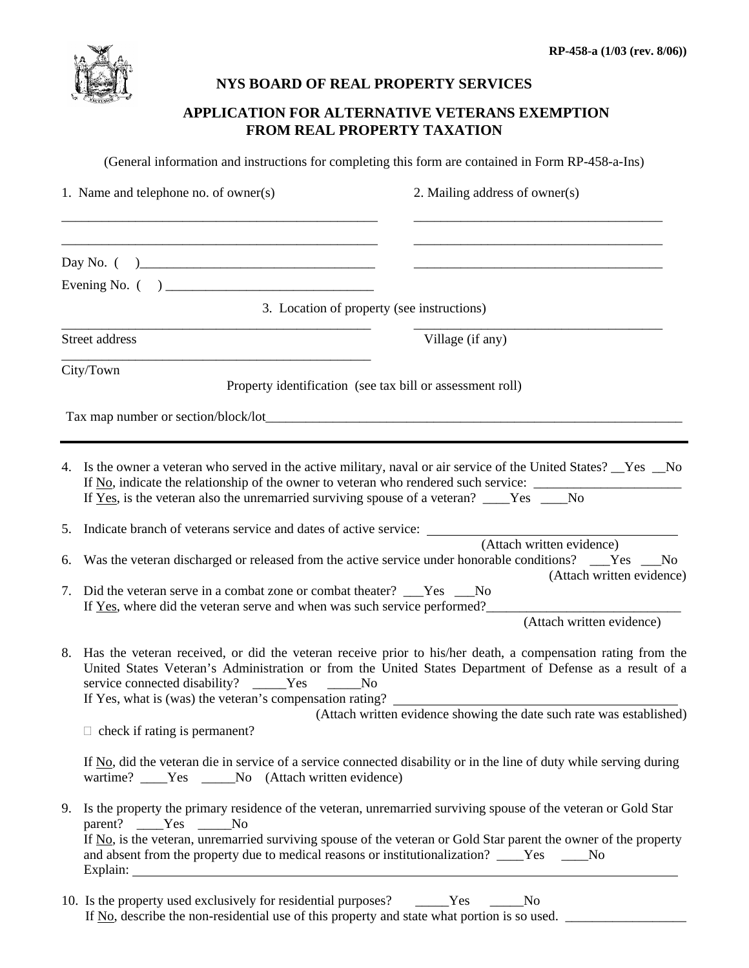

# **NYS BOARD OF REAL PROPERTY SERVICES**

# **APPLICATION FOR ALTERNATIVE VETERANS EXEMPTION FROM REAL PROPERTY TAXATION**

(General information and instructions for completing this form are contained in Form RP-458-a-Ins)

|                                                                                                                                                                                                                                                                                                                                                                                                                           | 1. Name and telephone no. of owner(s)<br>2. Mailing address of owner(s)                                                                                                                                                                                                                                                                                         |  |  |  |  |  |  |
|---------------------------------------------------------------------------------------------------------------------------------------------------------------------------------------------------------------------------------------------------------------------------------------------------------------------------------------------------------------------------------------------------------------------------|-----------------------------------------------------------------------------------------------------------------------------------------------------------------------------------------------------------------------------------------------------------------------------------------------------------------------------------------------------------------|--|--|--|--|--|--|
|                                                                                                                                                                                                                                                                                                                                                                                                                           |                                                                                                                                                                                                                                                                                                                                                                 |  |  |  |  |  |  |
|                                                                                                                                                                                                                                                                                                                                                                                                                           | Day No. $( )$                                                                                                                                                                                                                                                                                                                                                   |  |  |  |  |  |  |
|                                                                                                                                                                                                                                                                                                                                                                                                                           |                                                                                                                                                                                                                                                                                                                                                                 |  |  |  |  |  |  |
|                                                                                                                                                                                                                                                                                                                                                                                                                           | 3. Location of property (see instructions)                                                                                                                                                                                                                                                                                                                      |  |  |  |  |  |  |
|                                                                                                                                                                                                                                                                                                                                                                                                                           | Village (if any)<br>Street address                                                                                                                                                                                                                                                                                                                              |  |  |  |  |  |  |
|                                                                                                                                                                                                                                                                                                                                                                                                                           | City/Town<br>Property identification (see tax bill or assessment roll)                                                                                                                                                                                                                                                                                          |  |  |  |  |  |  |
|                                                                                                                                                                                                                                                                                                                                                                                                                           |                                                                                                                                                                                                                                                                                                                                                                 |  |  |  |  |  |  |
|                                                                                                                                                                                                                                                                                                                                                                                                                           | 4. Is the owner a veteran who served in the active military, naval or air service of the United States? Yes No<br>If No, indicate the relationship of the owner to veteran who rendered such service: __________________________<br>If Yes, is the veteran also the unremarried surviving spouse of a veteran? ____Yes ____No                                   |  |  |  |  |  |  |
| 5.                                                                                                                                                                                                                                                                                                                                                                                                                        | Indicate branch of veterans service and dates of active service: ________<br>(Attach written evidence)                                                                                                                                                                                                                                                          |  |  |  |  |  |  |
| 6.                                                                                                                                                                                                                                                                                                                                                                                                                        | Was the veteran discharged or released from the active service under honorable conditions? __Yes __No<br>(Attach written evidence)                                                                                                                                                                                                                              |  |  |  |  |  |  |
| 7.                                                                                                                                                                                                                                                                                                                                                                                                                        | Did the veteran serve in a combat zone or combat theater? ___Yes ___No<br>If Yes, where did the veteran serve and when was such service performed?                                                                                                                                                                                                              |  |  |  |  |  |  |
|                                                                                                                                                                                                                                                                                                                                                                                                                           | (Attach written evidence)                                                                                                                                                                                                                                                                                                                                       |  |  |  |  |  |  |
| 8. Has the veteran received, or did the veteran receive prior to his/her death, a compensation rating from the<br>United States Veteran's Administration or from the United States Department of Defense as a result of a<br>service connected disability? _____Yes<br>N <sub>0</sub><br>If Yes, what is (was) the veteran's compensation rating?<br>(Attach written evidence showing the date such rate was established) |                                                                                                                                                                                                                                                                                                                                                                 |  |  |  |  |  |  |
|                                                                                                                                                                                                                                                                                                                                                                                                                           | $\Box$ check if rating is permanent?                                                                                                                                                                                                                                                                                                                            |  |  |  |  |  |  |
|                                                                                                                                                                                                                                                                                                                                                                                                                           | If No, did the veteran die in service of a service connected disability or in the line of duty while serving during<br>wartime? ____Yes _____No (Attach written evidence)                                                                                                                                                                                       |  |  |  |  |  |  |
| 9.                                                                                                                                                                                                                                                                                                                                                                                                                        | Is the property the primary residence of the veteran, unremarried surviving spouse of the veteran or Gold Star<br>parent? ____Yes _____No<br>If $N0$ , is the veteran, unremarried surviving spouse of the veteran or Gold Star parent the owner of the property<br>and absent from the property due to medical reasons or institutionalization? ____Yes ____No |  |  |  |  |  |  |

10. Is the property used exclusively for residential purposes? \_\_\_\_\_Yes \_\_\_\_\_No If No, describe the non-residential use of this property and state what portion is so used.  $\Box$